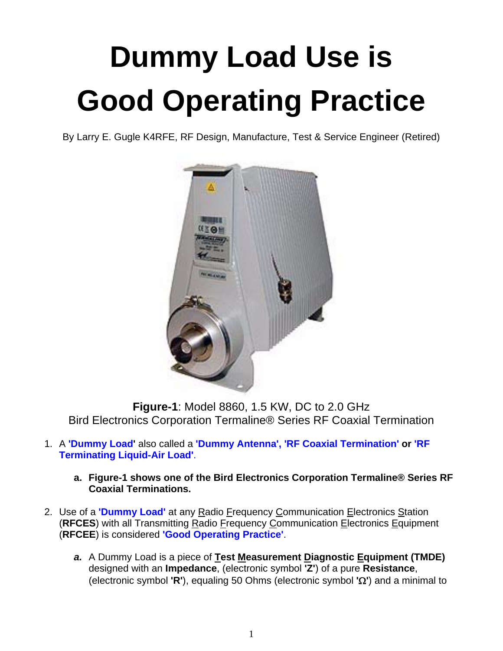## **Dummy Load Use is Good Operating Practice**

By Larry E. Gugle K4RFE, RF Design, Manufacture, Test & Service Engineer (Retired)



**Figure-1**: Model 8860, 1.5 KW, DC to 2.0 GHz Bird Electronics Corporation Termaline® Series RF Coaxial Termination

- 1. A **'Dummy Load'** also called a **'Dummy Antenna', 'RF Coaxial Termination' or 'RF Terminating Liquid-Air Load'**.
	- **a. Figure-1 shows one of the Bird Electronics Corporation Termaline® Series RF Coaxial Terminations.**
- 2. Use of a **'Dummy Load'** at any Radio Frequency Communication Electronics Station (**RFCES**) with all Transmitting Radio Frequency Communication Electronics Equipment (**RFCEE**) is considered **'Good Operating Practice'**.
	- *a.* A Dummy Load is a piece of **Test Measurement Diagnostic Equipment (TMDE)** designed with an **Impedance**, (electronic symbol **'Z'**) of a pure **Resistance**, (electronic symbol **'R'**), equaling 50 Ohms (electronic symbol **''**) and a minimal to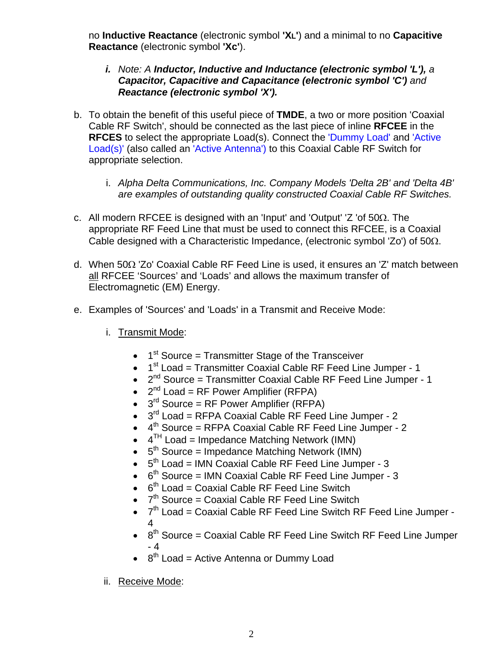no **Inductive Reactance** (electronic symbol **'XL'**) and a minimal to no **Capacitive Reactance** (electronic symbol **'Xc'**).

## *i. Note: A Inductor, Inductive and Inductance (electronic symbol 'L'), a Capacitor, Capacitive and Capacitance (electronic symbol 'C') and Reactance (electronic symbol 'X').*

- b. To obtain the benefit of this useful piece of **TMDE**, a two or more position 'Coaxial Cable RF Switch', should be connected as the last piece of inline **RFCEE** in the **RFCES** to select the appropriate Load(s). Connect the 'Dummy Load' and 'Active Load(s)' (also called an 'Active Antenna') to this Coaxial Cable RF Switch for appropriate selection.
	- i. *Alpha Delta Communications, Inc. Company Models 'Delta 2B' and 'Delta 4B' are examples of outstanding quality constructed Coaxial Cable RF Switches.*
- c. All modern RFCEE is designed with an 'Input' and 'Output'  $Z$  'of 50 $\Omega$ . The appropriate RF Feed Line that must be used to connect this RFCEE, is a Coaxial Cable designed with a Characteristic Impedance, (electronic symbol  $Z_0$ ) of  $50\Omega$ .
- d. When  $50\Omega$  'Zo' Coaxial Cable RF Feed Line is used, it ensures an 'Z' match between all RFCEE 'Sources' and 'Loads' and allows the maximum transfer of Electromagnetic (EM) Energy.
- e. Examples of 'Sources' and 'Loads' in a Transmit and Receive Mode:
	- i. Transmit Mode:
		- $\bullet$  1<sup>st</sup> Source = Transmitter Stage of the Transceiver
		- $1<sup>st</sup>$  Load = Transmitter Coaxial Cable RF Feed Line Jumper 1
		- $\bullet$   $2^{nd}$  Source = Transmitter Coaxial Cable RF Feed Line Jumper 1
		- $2<sup>nd</sup>$  Load = RF Power Amplifier (RFPA)
		- $\bullet$  3<sup>rd</sup> Source = RF Power Amplifier (RFPA)
		- $\bullet$  3<sup>rd</sup> Load = RFPA Coaxial Cable RF Feed Line Jumper 2
		- $\bullet$  4<sup>th</sup> Source = RFPA Coaxial Cable RF Feed Line Jumper 2
		- $\bullet$  4<sup>TH</sup> Load = Impedance Matching Network (IMN)
		- $\bullet$  5<sup>th</sup> Source = Impedance Matching Network (IMN)
		- $\bullet$  5<sup>th</sup> Load = IMN Coaxial Cable RF Feed Line Jumper 3
		- $6<sup>th</sup>$  Source = IMN Coaxial Cable RF Feed Line Jumper 3
		- $6<sup>th</sup>$  Load = Coaxial Cable RF Feed Line Switch
		- $\bullet$   $7<sup>th</sup>$  Source = Coaxial Cable RF Feed Line Switch
		- $\bullet$   $7<sup>th</sup>$  Load = Coaxial Cable RF Feed Line Switch RF Feed Line Jumper -4
		- $8<sup>th</sup>$  Source = Coaxial Cable RF Feed Line Switch RF Feed Line Jumper - 4
		- $\cdot$  8<sup>th</sup> Load = Active Antenna or Dummy Load
	- ii. Receive Mode: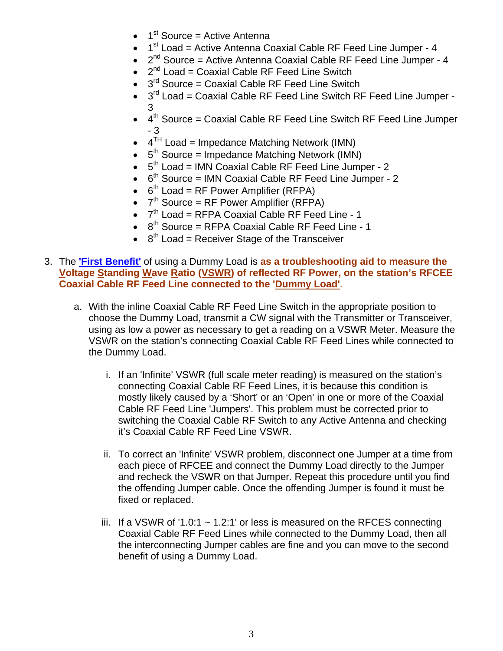- $\bullet$  1<sup>st</sup> Source = Active Antenna
- 1<sup>st</sup> Load = Active Antenna Coaxial Cable RF Feed Line Jumper 4
- $\bullet$   $2^{nd}$  Source = Active Antenna Coaxial Cable RF Feed Line Jumper 4
- $\bullet$   $2^{nd}$  Load = Coaxial Cable RF Feed Line Switch
- $\bullet$  3<sup>rd</sup> Source = Coaxial Cable RF Feed Line Switch
- $3<sup>rd</sup>$  Load = Coaxial Cable RF Feed Line Switch RF Feed Line Jumper -3
- $\bullet$  4<sup>th</sup> Source = Coaxial Cable RF Feed Line Switch RF Feed Line Jumper - 3
- $\bullet$  4<sup>TH</sup> Load = Impedance Matching Network (IMN)
- $\bullet$  5<sup>th</sup> Source = Impedance Matching Network (IMN)
- $\bullet$  5<sup>th</sup> Load = IMN Coaxial Cable RF Feed Line Jumper 2
- $6<sup>th</sup>$  Source = IMN Coaxial Cable RF Feed Line Jumper 2
- $6<sup>th</sup>$  Load = RF Power Amplifier (RFPA)
- $\bullet$  7<sup>th</sup> Source = RF Power Amplifier (RFPA)
- $\bullet$   $7<sup>th</sup>$  Load = RFPA Coaxial Cable RF Feed Line 1
- $8<sup>th</sup>$  Source = RFPA Coaxial Cable RF Feed Line 1
- $\cdot$  8<sup>th</sup> Load = Receiver Stage of the Transceiver
- 3. The **'First Benefit'** of using a Dummy Load is **as a troubleshooting aid to measure the Voltage Standing Wave Ratio (VSWR) of reflected RF Power, on the station's RFCEE Coaxial Cable RF Feed Line connected to the 'Dummy Load'**.
	- a. With the inline Coaxial Cable RF Feed Line Switch in the appropriate position to choose the Dummy Load, transmit a CW signal with the Transmitter or Transceiver, using as low a power as necessary to get a reading on a VSWR Meter. Measure the VSWR on the station's connecting Coaxial Cable RF Feed Lines while connected to the Dummy Load.
		- i. If an 'Infinite' VSWR (full scale meter reading) is measured on the station's connecting Coaxial Cable RF Feed Lines, it is because this condition is mostly likely caused by a 'Short' or an 'Open' in one or more of the Coaxial Cable RF Feed Line 'Jumpers'. This problem must be corrected prior to switching the Coaxial Cable RF Switch to any Active Antenna and checking it's Coaxial Cable RF Feed Line VSWR.
		- ii. To correct an 'Infinite' VSWR problem, disconnect one Jumper at a time from each piece of RFCEE and connect the Dummy Load directly to the Jumper and recheck the VSWR on that Jumper. Repeat this procedure until you find the offending Jumper cable. Once the offending Jumper is found it must be fixed or replaced.
		- iii. If a VSWR of '1.0:1  $\sim$  1.2:1' or less is measured on the RFCES connecting Coaxial Cable RF Feed Lines while connected to the Dummy Load, then all the interconnecting Jumper cables are fine and you can move to the second benefit of using a Dummy Load.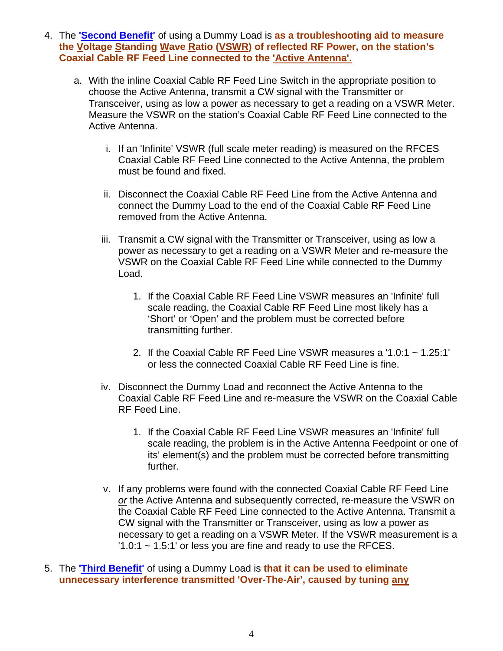- 4. The **'Second Benefit'** of using a Dummy Load is **as a troubleshooting aid to measure the Voltage Standing Wave Ratio (VSWR) of reflected RF Power, on the station's Coaxial Cable RF Feed Line connected to the 'Active Antenna'.**
	- a. With the inline Coaxial Cable RF Feed Line Switch in the appropriate position to choose the Active Antenna, transmit a CW signal with the Transmitter or Transceiver, using as low a power as necessary to get a reading on a VSWR Meter. Measure the VSWR on the station's Coaxial Cable RF Feed Line connected to the Active Antenna.
		- i. If an 'Infinite' VSWR (full scale meter reading) is measured on the RFCES Coaxial Cable RF Feed Line connected to the Active Antenna, the problem must be found and fixed.
		- ii. Disconnect the Coaxial Cable RF Feed Line from the Active Antenna and connect the Dummy Load to the end of the Coaxial Cable RF Feed Line removed from the Active Antenna.
		- iii. Transmit a CW signal with the Transmitter or Transceiver, using as low a power as necessary to get a reading on a VSWR Meter and re-measure the VSWR on the Coaxial Cable RF Feed Line while connected to the Dummy Load.
			- 1. If the Coaxial Cable RF Feed Line VSWR measures an 'Infinite' full scale reading, the Coaxial Cable RF Feed Line most likely has a 'Short' or 'Open' and the problem must be corrected before transmitting further.
			- 2. If the Coaxial Cable RF Feed Line VSWR measures a '1.0:1 ~ 1.25:1' or less the connected Coaxial Cable RF Feed Line is fine.
		- iv. Disconnect the Dummy Load and reconnect the Active Antenna to the Coaxial Cable RF Feed Line and re-measure the VSWR on the Coaxial Cable RF Feed Line.
			- 1. If the Coaxial Cable RF Feed Line VSWR measures an 'Infinite' full scale reading, the problem is in the Active Antenna Feedpoint or one of its' element(s) and the problem must be corrected before transmitting further.
		- v. If any problems were found with the connected Coaxial Cable RF Feed Line *or* the Active Antenna and subsequently corrected, re-measure the VSWR on the Coaxial Cable RF Feed Line connected to the Active Antenna. Transmit a CW signal with the Transmitter or Transceiver, using as low a power as necessary to get a reading on a VSWR Meter. If the VSWR measurement is a  $1.0:1 \sim 1.5:1$  or less you are fine and ready to use the RFCES.
- 5. The **'Third Benefit'** of using a Dummy Load is **that it can be used to eliminate unnecessary interference transmitted 'Over-The-Air', caused by tuning any**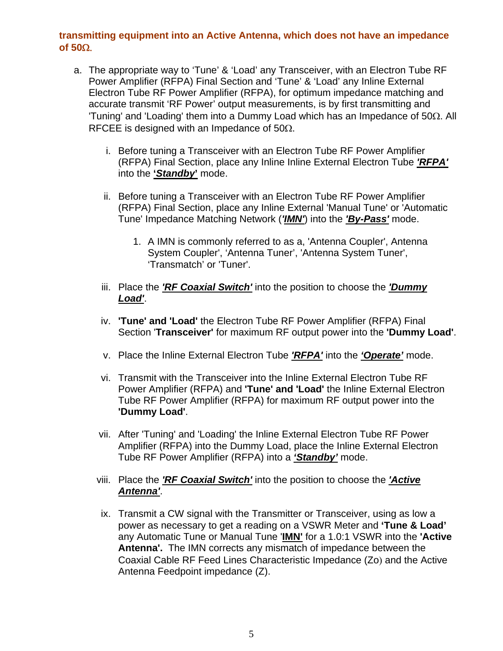## **transmitting equipment into an Active Antenna, which does not have an impedance**   $of$  50 $\Omega$ .

- a. The appropriate way to 'Tune' & 'Load' any Transceiver, with an Electron Tube RF Power Amplifier (RFPA) Final Section and 'Tune' & 'Load' any Inline External Electron Tube RF Power Amplifier (RFPA), for optimum impedance matching and accurate transmit 'RF Power' output measurements, is by first transmitting and 'Tuning' and 'Loading' them into a Dummy Load which has an Impedance of  $50\Omega$ . All RFCEE is designed with an Impedance of  $50\Omega$ .
	- i. Before tuning a Transceiver with an Electron Tube RF Power Amplifier (RFPA) Final Section, place any Inline Inline External Electron Tube *'RFPA'* into the **'***Standby***'** mode.
	- ii. Before tuning a Transceiver with an Electron Tube RF Power Amplifier (RFPA) Final Section, place any Inline External 'Manual Tune' or 'Automatic Tune' Impedance Matching Network (*'IMN'*) into the *'By-Pass'* mode.
		- 1. A IMN is commonly referred to as a, 'Antenna Coupler', Antenna System Coupler', 'Antenna Tuner', 'Antenna System Tuner', 'Transmatch' or 'Tuner'.
	- iii. Place the *'RF Coaxial Switch'* into the position to choose the *'Dummy Load'*.
	- iv. **'Tune' and 'Load'** the Electron Tube RF Power Amplifier (RFPA) Final Section '**Transceiver'** for maximum RF output power into the **'Dummy Load'**.
	- v. Place the Inline External Electron Tube *'RFPA'* into the *'Operate'* mode.
	- vi. Transmit with the Transceiver into the Inline External Electron Tube RF Power Amplifier (RFPA) and **'Tune' and 'Load'** the Inline External Electron Tube RF Power Amplifier (RFPA) for maximum RF output power into the **'Dummy Load'**.
	- vii. After 'Tuning' and 'Loading' the Inline External Electron Tube RF Power Amplifier (RFPA) into the Dummy Load, place the Inline External Electron Tube RF Power Amplifier (RFPA) into a *'Standby'* mode.
	- viii. Place the *'RF Coaxial Switch'* into the position to choose the *'Active Antenna'*.
	- ix. Transmit a CW signal with the Transmitter or Transceiver, using as low a power as necessary to get a reading on a VSWR Meter and **'Tune & Load'** any Automatic Tune or Manual Tune '**IMN'** for a 1.0:1 VSWR into the **'Active Antenna'.** The IMN corrects any mismatch of impedance between the Coaxial Cable RF Feed Lines Characteristic Impedance (Zo) and the Active Antenna Feedpoint impedance (Z).